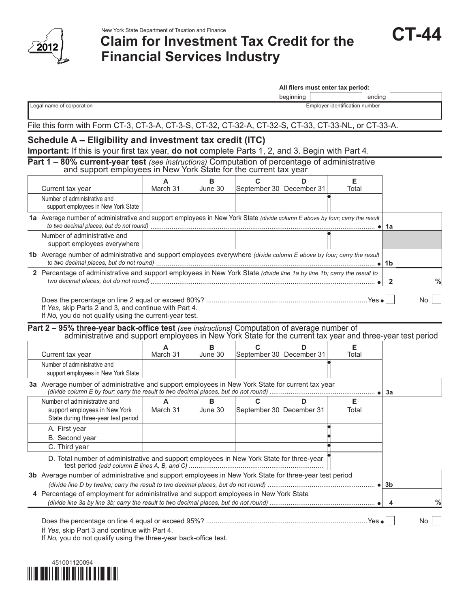

# New York State Department of Taxation and Finance<br>**CIAIM for Investment Tax Credit for the** CT-44 **Financial Services Industry**

|  | and the state of the state of the state of the state of the state of the state of the state of the state of th<br>$\mathbf{r}$<br>71 |
|--|--------------------------------------------------------------------------------------------------------------------------------------|
|--|--------------------------------------------------------------------------------------------------------------------------------------|

|                                                                                                                                                        |               |              |                                                                                                            | All filers must enter tax period: |                                |              |     |
|--------------------------------------------------------------------------------------------------------------------------------------------------------|---------------|--------------|------------------------------------------------------------------------------------------------------------|-----------------------------------|--------------------------------|--------------|-----|
|                                                                                                                                                        |               |              |                                                                                                            | beginning                         |                                | ending       |     |
| Legal name of corporation                                                                                                                              |               |              |                                                                                                            |                                   | Employer identification number |              |     |
| File this form with Form CT-3, CT-3-A, CT-3-S, CT-32, CT-32-A, CT-32-S, CT-33, CT-33-NL, or CT-33-A.                                                   |               |              |                                                                                                            |                                   |                                |              |     |
| Schedule A - Eligibility and investment tax credit (ITC)                                                                                               |               |              |                                                                                                            |                                   |                                |              |     |
| Important: If this is your first tax year, do not complete Parts 1, 2, and 3. Begin with Part 4.                                                       |               |              |                                                                                                            |                                   |                                |              |     |
| Part 1 - 80% current-year test (see instructions) Computation of percentage of administrative                                                          |               |              | and support employees in New York State for the current tax year                                           |                                   |                                |              |     |
| Current tax year                                                                                                                                       | March 31      | в<br>June 30 | C<br>September 30 December 31                                                                              | D.                                | Е<br>Total                     |              |     |
| Number of administrative and<br>support employees in New York State                                                                                    |               |              |                                                                                                            |                                   |                                |              |     |
| 1a Average number of administrative and support employees in New York State (divide column E above by four; carry the result                           |               |              |                                                                                                            |                                   |                                | 1а           |     |
| Number of administrative and<br>support employees everywhere                                                                                           |               |              |                                                                                                            |                                   |                                |              |     |
| 1b Average number of administrative and support employees everywhere (divide column E above by four; carry the result                                  |               |              |                                                                                                            |                                   |                                | 1b           |     |
| 2 Percentage of administrative and support employees in New York State (divide line 1a by line 1b; carry the result to                                 |               |              |                                                                                                            |                                   |                                | $\mathbf{2}$ | %   |
| If Yes, skip Parts 2 and 3, and continue with Part 4.                                                                                                  |               |              |                                                                                                            |                                   |                                |              | No. |
| If No, you do not qualify using the current-year test.<br>Part 2 - 95% three-year back-office test (see instructions) Computation of average number of |               |              | administrative and support employees in New York State for the current tax year and three-year test period |                                   |                                |              |     |
| Current tax year                                                                                                                                       | March 31      | в<br>June 30 | C<br>September 30 December 31                                                                              | D                                 | Е<br>Total                     |              |     |
| Number of administrative and<br>support employees in New York State                                                                                    |               |              |                                                                                                            |                                   |                                |              |     |
| 3a Average number of administrative and support employees in New York State for current tax year                                                       |               |              |                                                                                                            |                                   |                                | За           |     |
| Number of administrative and<br>support employees in New York<br>State during three-year test period                                                   | A<br>March 31 | в<br>June 30 | C<br>September 30 December 31                                                                              | D                                 | Е<br>Total                     |              |     |
| A. First year                                                                                                                                          |               |              |                                                                                                            |                                   |                                |              |     |
| B. Second year                                                                                                                                         |               |              |                                                                                                            |                                   |                                |              |     |
| C. Third year<br>D. Total number of administrative and support employees in New York State for three-year                                              |               |              |                                                                                                            |                                   |                                |              |     |
|                                                                                                                                                        |               |              |                                                                                                            |                                   |                                |              |     |
| 3b Average number of administrative and support employees in New York State for three-year test period                                                 |               |              |                                                                                                            |                                   |                                |              |     |
| 4 Percentage of employment for administrative and support employees in New York State                                                                  |               |              |                                                                                                            |                                   |                                |              |     |

If *No,* you do not qualify using the three-year back-office test.

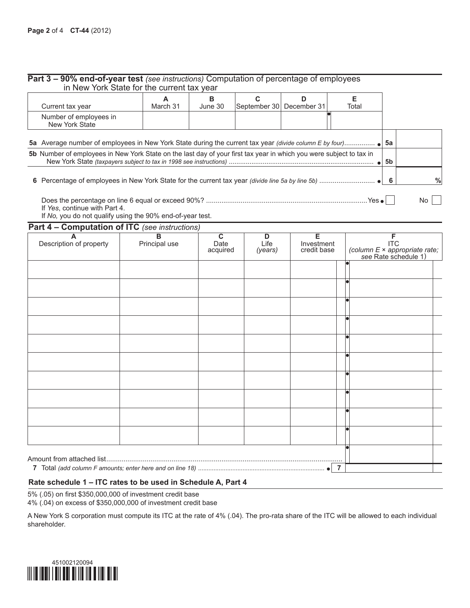| Current tax year                                                                                                                                                                                                                            | A<br>March 31 | в<br>June 30 | September 30 | D<br>December 31 | Е<br>Total |          |  |
|---------------------------------------------------------------------------------------------------------------------------------------------------------------------------------------------------------------------------------------------|---------------|--------------|--------------|------------------|------------|----------|--|
| Number of employees in<br><b>New York State</b>                                                                                                                                                                                             |               |              |              |                  |            |          |  |
| <b>5a</b> Average number of employees in New York State during the current tax year <i>(divide column E by four)</i><br>5b Number of employees in New York State on the last day of your first tax year in which you were subject to tax in |               |              |              |                  |            | 5а<br>5b |  |
| 6.                                                                                                                                                                                                                                          |               |              |              |                  |            |          |  |

#### **Part 4 – Computation of ITC** *(see instructions)*

| $\mathbf{r}$ and $\mathbf{r}$<br>A<br>Description of property | $\mathbf{r}$<br>$\overline{B}$<br>Principal use | $\overline{c}$<br>Date<br>acquired | D<br>Life<br>(years) | $\overline{E}$<br>Investment<br>credit base | F<br>(column E × appropriate rate;<br>see Rate schedule 1) |
|---------------------------------------------------------------|-------------------------------------------------|------------------------------------|----------------------|---------------------------------------------|------------------------------------------------------------|
|                                                               |                                                 |                                    |                      |                                             |                                                            |
|                                                               |                                                 |                                    |                      |                                             |                                                            |
|                                                               |                                                 |                                    |                      |                                             |                                                            |
|                                                               |                                                 |                                    |                      |                                             |                                                            |
|                                                               |                                                 |                                    |                      |                                             |                                                            |
|                                                               |                                                 |                                    |                      |                                             |                                                            |
|                                                               |                                                 |                                    |                      |                                             |                                                            |
|                                                               |                                                 |                                    |                      |                                             |                                                            |
|                                                               |                                                 |                                    |                      |                                             |                                                            |
|                                                               |                                                 |                                    |                      |                                             |                                                            |
| Amount from attached list                                     |                                                 |                                    |                      |                                             |                                                            |

#### **Rate schedule 1 – ITC rates to be used in Schedule A, Part 4**

5% (.05) on first \$350,000,000 of investment credit base

4% (.04) on excess of \$350,000,000 of investment credit base

A New York S corporation must compute its ITC at the rate of 4% (.04). The pro-rata share of the ITC will be allowed to each individual shareholder.

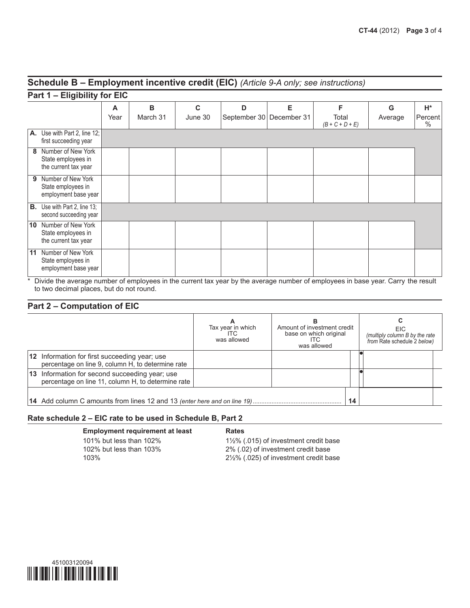#### **Schedule B – Employment incentive credit (EIC)** *(Article 9-A only; see instructions)*

|    | Part 1 – Eligibility for EIC                                     |      |          |         |                          |   |                            |         |                 |
|----|------------------------------------------------------------------|------|----------|---------|--------------------------|---|----------------------------|---------|-----------------|
|    |                                                                  | A    | B        | C       | D                        | Е | F                          | G       | H*              |
|    |                                                                  | Year | March 31 | June 30 | September 30 December 31 |   | Total<br>$(B + C + D + E)$ | Average | Percent<br>$\%$ |
|    | A. Use with Part 2, line 12;<br>first succeeding year            |      |          |         |                          |   |                            |         |                 |
| 8  | Number of New York<br>State employees in<br>the current tax year |      |          |         |                          |   |                            |         |                 |
| 9  | Number of New York<br>State employees in<br>employment base year |      |          |         |                          |   |                            |         |                 |
| В. | Use with Part 2, line 13;<br>second succeeding year              |      |          |         |                          |   |                            |         |                 |
| 10 | Number of New York<br>State employees in<br>the current tax year |      |          |         |                          |   |                            |         |                 |
| 11 | Number of New York<br>State employees in<br>employment base year |      |          |         |                          |   |                            |         |                 |

\* Divide the average number of employees in the current tax year by the average number of employees in base year. Carry  the result to two decimal places, but do not round.

#### **Part 2 – Computation of EIC**

|                                                                                                      | Tax year in which<br>ITC.<br>was allowed | в<br>Amount of investment credit<br>base on which original<br>ITC<br>was allowed | EIC.<br>(multiply column B by the rate<br>from Rate schedule 2 below) |
|------------------------------------------------------------------------------------------------------|------------------------------------------|----------------------------------------------------------------------------------|-----------------------------------------------------------------------|
| 12 Information for first succeeding year; use<br>percentage on line 9, column H, to determine rate   |                                          |                                                                                  |                                                                       |
| 13 Information for second succeeding year; use<br>percentage on line 11, column H, to determine rate |                                          |                                                                                  |                                                                       |
|                                                                                                      |                                          | 14                                                                               |                                                                       |

#### **Rate schedule 2 – EIC rate to be used in Schedule B, Part 2**

**Employment requirement at least Kates** 101% but less than 102% 1½% (.015) of investment credit base

102% but less than 103% 2% (.02) of investment credit base 103% 2½% (.025) of investment credit base